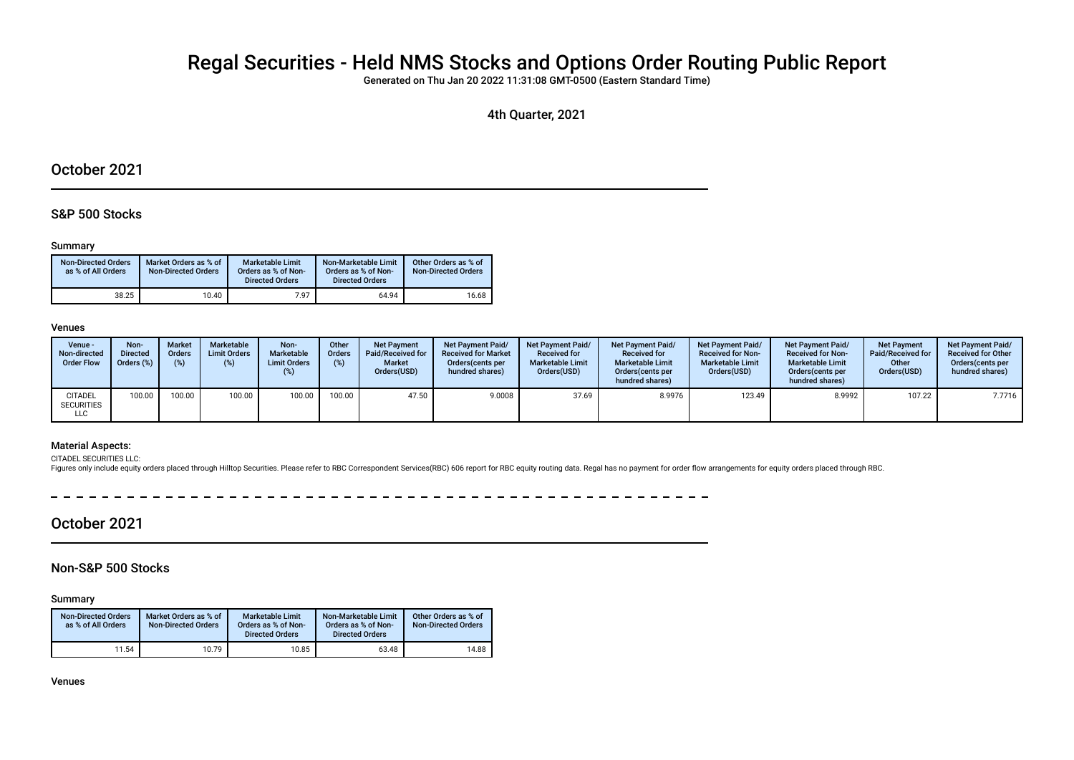# Regal Securities - Held NMS Stocks and Options Order Routing Public Report

Generated on Thu Jan 20 2022 11:31:08 GMT-0500 (Eastern Standard Time)

4th Quarter, 2021

## October 2021

### S&P 500 Stocks

#### Summary

| <b>Non-Directed Orders</b><br>as % of All Orders | Market Orders as % of<br><b>Non-Directed Orders</b> | Marketable Limit<br>Orders as % of Non-<br><b>Directed Orders</b> | Non-Marketable Limit<br>Orders as % of Non-<br><b>Directed Orders</b> | Other Orders as % of<br><b>Non-Directed Orders</b> |
|--------------------------------------------------|-----------------------------------------------------|-------------------------------------------------------------------|-----------------------------------------------------------------------|----------------------------------------------------|
| 38.25                                            | 10.40                                               | 7.97                                                              | 64.94                                                                 | 16.68                                              |

#### Venues

| Venue -<br>Non-directed<br><b>Order Flow</b> | Non-<br><b>Directed</b><br>Orders (%) | <b>Market</b><br><b>Orders</b> | Marketable<br><b>Limit Orders</b> | Non-<br>Marketable<br><b>Limit Orders</b><br>$(\%)$ | Other<br><b>Orders</b><br>(%) | <b>Net Payment</b><br>Paid/Received for<br><b>Market</b><br>Orders(USD) | <b>Net Payment Paid/</b><br><b>Received for Market</b><br>Orders (cents per<br>hundred shares) | Net Payment Paid/<br><b>Received for</b><br><b>Marketable Limit</b><br>Orders(USD) | <b>Net Payment Paid/</b><br><b>Received for</b><br><b>Marketable Limit</b><br>Orders (cents per<br>hundred shares) | <b>Net Payment Paid/</b><br><b>Received for Non-</b><br><b>Marketable Limit</b><br>Orders(USD) | <b>Net Payment Paid/</b><br><b>Received for Non-</b><br><b>Marketable Limit</b><br>Orders (cents per<br>hundred shares) | <b>Net Payment</b><br>Paid/Received for<br>Other<br>Orders(USD) | <b>Net Payment Paid/</b><br><b>Received for Other</b><br>Orders(cents per<br>hundred shares) |
|----------------------------------------------|---------------------------------------|--------------------------------|-----------------------------------|-----------------------------------------------------|-------------------------------|-------------------------------------------------------------------------|------------------------------------------------------------------------------------------------|------------------------------------------------------------------------------------|--------------------------------------------------------------------------------------------------------------------|------------------------------------------------------------------------------------------------|-------------------------------------------------------------------------------------------------------------------------|-----------------------------------------------------------------|----------------------------------------------------------------------------------------------|
| <b>CITADEL</b><br><b>SECURITIES</b><br>LLC   | 100.00                                | 100.00                         | 100.00                            | 100.00                                              | 100.00                        | 47.50                                                                   | 9.0008                                                                                         | 37.69                                                                              | 8.9976                                                                                                             | 123.49                                                                                         | 8.9992                                                                                                                  | 107.22                                                          | 7.7716                                                                                       |

#### Material Aspects:

CITADEL SECURITIES LLC: Figures only include equity orders placed through Hilltop Securities. Please refer to RBC Correspondent Services(RBC) 606 report for RBC equity routing data. Regal has no payment for order flow arrangements for equity orde

 $\overline{\phantom{0}}$  $-$ -------------- $-$ 

## October 2021

## Non-S&P 500 Stocks

Summary

| <b>Non-Directed Orders</b><br>as % of All Orders | Market Orders as % of<br><b>Non-Directed Orders</b> | <b>Marketable Limit</b><br>Orders as % of Non-<br><b>Directed Orders</b> | Non-Marketable Limit<br>Orders as % of Non-<br><b>Directed Orders</b> | Other Orders as % of<br><b>Non-Directed Orders</b> |
|--------------------------------------------------|-----------------------------------------------------|--------------------------------------------------------------------------|-----------------------------------------------------------------------|----------------------------------------------------|
| 11.54                                            | 10.79                                               | 10.85                                                                    | 63.48                                                                 | 14.88                                              |

Venues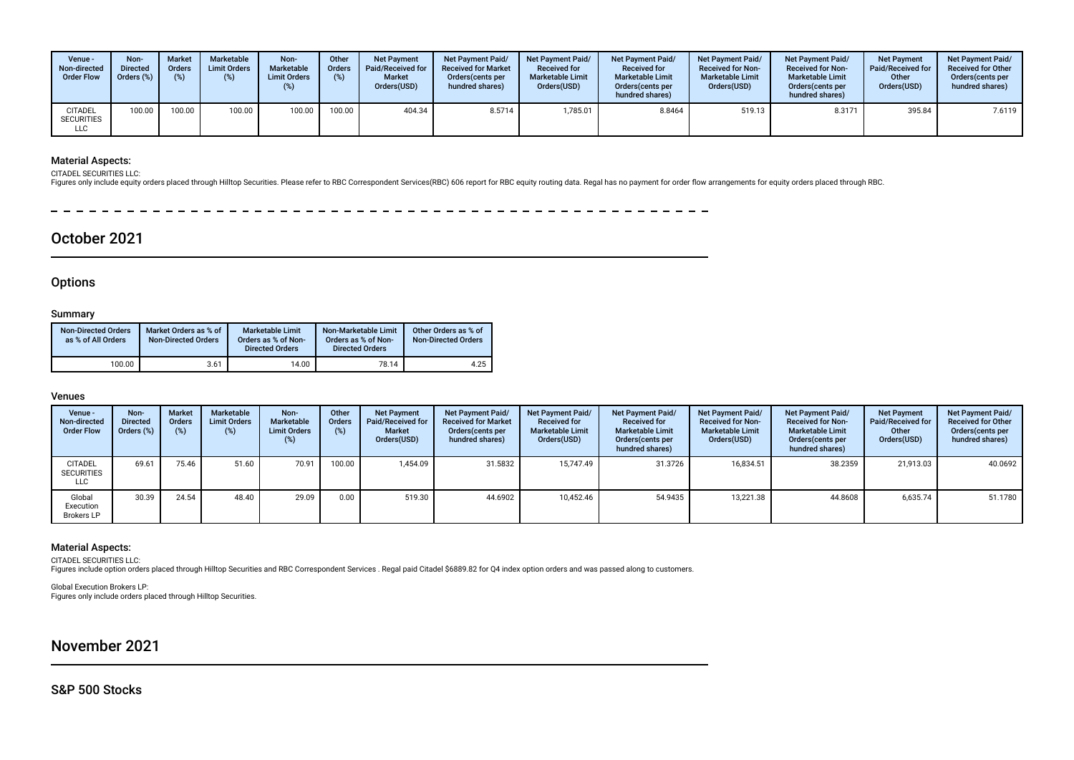| Venue -<br>Non-directed<br><b>Order Flow</b> | Non-<br><b>Directed</b><br>Orders (%) | <b>Market</b><br><b>Orders</b> | Marketable<br><b>Limit Orders</b> | Non-<br>Marketable<br><b>Limit Orders</b><br>$(\%)$ | Other<br><b>Orders</b><br>(%) | <b>Net Payment</b><br>Paid/Received for<br><b>Market</b><br>Orders(USD) | <b>Net Payment Paid/</b><br><b>Received for Market</b><br>Orders (cents per<br>hundred shares) | Net Payment Paid/<br><b>Received for</b><br><b>Marketable Limit</b><br>Orders(USD) | <b>Net Payment Paid/</b><br><b>Received for</b><br><b>Marketable Limit</b><br>Orders (cents per<br>hundred shares) | <b>Net Payment Paid/</b><br><b>Received for Non-</b><br><b>Marketable Limit</b><br>Orders(USD) | <b>Net Payment Paid/</b><br><b>Received for Non-</b><br><b>Marketable Limit</b><br>Orders(cents per<br>hundred shares) | <b>Net Payment</b><br><b>Paid/Received for</b><br>Other<br>Orders(USD) | <b>Net Payment Paid/</b><br><b>Received for Other</b><br>Orders(cents per<br>hundred shares) |
|----------------------------------------------|---------------------------------------|--------------------------------|-----------------------------------|-----------------------------------------------------|-------------------------------|-------------------------------------------------------------------------|------------------------------------------------------------------------------------------------|------------------------------------------------------------------------------------|--------------------------------------------------------------------------------------------------------------------|------------------------------------------------------------------------------------------------|------------------------------------------------------------------------------------------------------------------------|------------------------------------------------------------------------|----------------------------------------------------------------------------------------------|
| <b>CITADEL</b><br><b>SECURITIES</b><br>LLC   | 100.00                                | 100.00                         | 100.00                            | 100.00                                              | 100.00                        | 404.34                                                                  | 8.5714                                                                                         | 1,785.01                                                                           | 8.8464                                                                                                             | 519.13                                                                                         | 8.3171                                                                                                                 | 395.84                                                                 | 7.6119                                                                                       |

### Material Aspects:

CITADEL SECURITIES LLC:

Figures only include equity orders placed through Hilltop Securities. Please refer to RBC Correspondent Services(RBC) 606 report for RBC equity routing data. Regal has no payment for order flow arrangements for equity orde

 $\frac{1}{2}$  $\overline{\phantom{0}}$  $\overline{\phantom{0}}$ 

## October 2021

## **Options**

#### Summary

| <b>Non-Directed Orders</b><br>as % of All Orders | Market Orders as % of<br><b>Non-Directed Orders</b> | <b>Marketable Limit</b><br>Orders as % of Non-<br><b>Directed Orders</b> | Non-Marketable Limit<br>Orders as % of Non-<br><b>Directed Orders</b> | Other Orders as % of<br><b>Non-Directed Orders</b> |
|--------------------------------------------------|-----------------------------------------------------|--------------------------------------------------------------------------|-----------------------------------------------------------------------|----------------------------------------------------|
| 100.00                                           | 3.61                                                | 14.00                                                                    | 78.14                                                                 | 4.25                                               |

#### Venues

| Venue -<br>Non-directed<br><b>Order Flow</b>      | Non-<br><b>Directed</b><br>Orders (%) | <b>Market</b><br><b>Orders</b><br>(%) | Marketable<br><b>Limit Orders</b><br>(%) | Non-<br>Marketable<br><b>Limit Orders</b><br>(%) | Other<br>Orders<br>(%) | <b>Net Payment</b><br>Paid/Received for<br><b>Market</b><br>Orders(USD) | <b>Net Payment Paid/</b><br><b>Received for Market</b><br>Orders (cents per<br>hundred shares) | <b>Net Payment Paid/</b><br><b>Received for</b><br><b>Marketable Limit</b><br>Orders(USD) | Net Payment Paid/<br><b>Received for</b><br><b>Marketable Limit</b><br>Orders (cents per<br>hundred shares) | Net Payment Paid/<br><b>Received for Non-</b><br><b>Marketable Limit</b><br>Orders(USD) | <b>Net Payment Paid/</b><br><b>Received for Non-</b><br><b>Marketable Limit</b><br>Orders (cents per<br>hundred shares) | <b>Net Payment</b><br>Paid/Received for<br>Other<br>Orders(USD) | Net Payment Paid/<br><b>Received for Other</b><br>Orders (cents per<br>hundred shares) |
|---------------------------------------------------|---------------------------------------|---------------------------------------|------------------------------------------|--------------------------------------------------|------------------------|-------------------------------------------------------------------------|------------------------------------------------------------------------------------------------|-------------------------------------------------------------------------------------------|-------------------------------------------------------------------------------------------------------------|-----------------------------------------------------------------------------------------|-------------------------------------------------------------------------------------------------------------------------|-----------------------------------------------------------------|----------------------------------------------------------------------------------------|
| <b>CITADEL</b><br><b>SECURITIES</b><br><b>LLC</b> | 69.61                                 | 75.46                                 | 51.60                                    | 70.91                                            | 100.00                 | 1.454.09                                                                | 31.5832                                                                                        | 15.747.49                                                                                 | 31.3726                                                                                                     | 16,834.51                                                                               | 38.2359                                                                                                                 | 21.913.03                                                       | 40.0692                                                                                |
| Global<br>Execution<br><b>Brokers LP</b>          | 30.39                                 | 24.54                                 | 48.40                                    | 29.09                                            | 0.00                   | 519.30                                                                  | 44.6902                                                                                        | 10.452.46                                                                                 | 54.9435                                                                                                     | 13,221.38                                                                               | 44.8608                                                                                                                 | 6,635.74                                                        | 51.1780                                                                                |

#### Material Aspects:

CITADEL SECURITIES LLC:<br>Figures include option orders placed through Hilltop Securities and RBC Correspondent Services . Regal paid Citadel \$6889.82 for Q4 index option orders and was passed along to customers.

Global Execution Brokers LP: Figures only include orders placed through Hilltop Securities.

## November 2021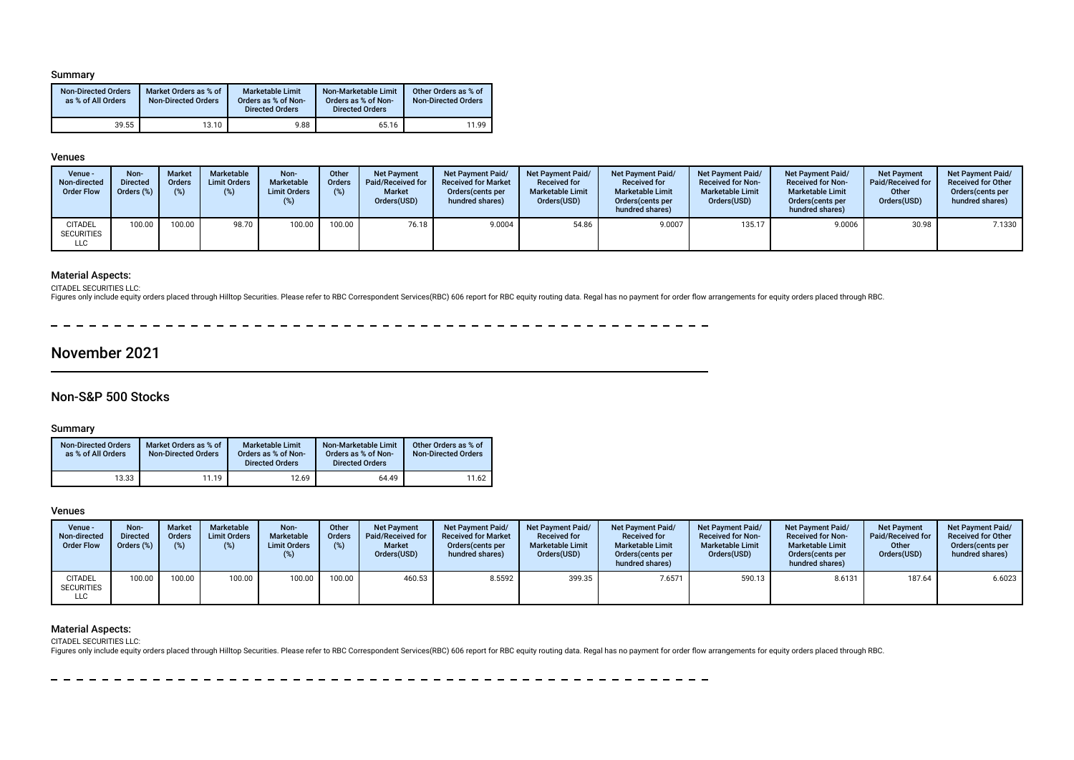#### Summary

| <b>Non-Directed Orders</b><br>as % of All Orders | Market Orders as % of<br><b>Non-Directed Orders</b> | <b>Marketable Limit</b><br>Orders as % of Non-<br><b>Directed Orders</b> | Non-Marketable Limit<br>Orders as % of Non-<br><b>Directed Orders</b> | Other Orders as % of<br><b>Non-Directed Orders</b> |
|--------------------------------------------------|-----------------------------------------------------|--------------------------------------------------------------------------|-----------------------------------------------------------------------|----------------------------------------------------|
| 39.55                                            | 13.10                                               | 9.88                                                                     | 65.16                                                                 | 11.99                                              |

#### Venues

| Venue -<br>Non-directed<br><b>Order Flow</b> | Non-<br><b>Directed</b><br>Orders (%) | <b>Market</b><br><b>Orders</b> | Marketable<br><b>Limit Orders</b> | Non-<br>Marketable<br><b>Limit Orders</b><br>$(\%)$ | Other<br><b>Orders</b><br>(%) | <b>Net Payment</b><br>Paid/Received for<br><b>Market</b><br>Orders(USD) | <b>Net Payment Paid/</b><br><b>Received for Market</b><br>Orders (cents per<br>hundred shares) | Net Payment Paid/<br><b>Received for</b><br><b>Marketable Limit</b><br>Orders(USD) | <b>Net Payment Paid/</b><br><b>Received for</b><br><b>Marketable Limit</b><br>Orders(cents per<br>hundred shares) | <b>Net Payment Paid/</b><br><b>Received for Non-</b><br><b>Marketable Limit</b><br>Orders(USD) | <b>Net Payment Paid/</b><br><b>Received for Non-</b><br><b>Marketable Limit</b><br>Orders(cents per<br>hundred shares) | <b>Net Payment</b><br>Paid/Received for<br>Other<br>Orders(USD) | <b>Net Payment Paid/</b><br><b>Received for Other</b><br>Orders(cents per<br>hundred shares) |
|----------------------------------------------|---------------------------------------|--------------------------------|-----------------------------------|-----------------------------------------------------|-------------------------------|-------------------------------------------------------------------------|------------------------------------------------------------------------------------------------|------------------------------------------------------------------------------------|-------------------------------------------------------------------------------------------------------------------|------------------------------------------------------------------------------------------------|------------------------------------------------------------------------------------------------------------------------|-----------------------------------------------------------------|----------------------------------------------------------------------------------------------|
| <b>CITADEL</b><br><b>SECURITIES</b><br>LLC   | 100.00                                | 100.00                         | 98.70                             | 100.00                                              | 100.00                        | 76.18                                                                   | 9.0004                                                                                         | 54.86                                                                              | 9.0007                                                                                                            | 135.17                                                                                         | 9.0006                                                                                                                 | 30.98                                                           | 7.1330                                                                                       |

#### Material Aspects:

CITADEL SECURITIES LLC:

Figures only include equity orders placed through Hilltop Securities. Please refer to RBC Correspondent Services(RBC) 606 report for RBC equity routing data. Regal has no payment for order flow arrangements for equity orde

## November 2021

### Non-S&P 500 Stocks

#### Summary

| <b>Non-Directed Orders</b><br>as % of All Orders | Market Orders as % of<br><b>Non-Directed Orders</b> | <b>Marketable Limit</b><br>Orders as % of Non-<br><b>Directed Orders</b> | Non-Marketable Limit<br>Orders as % of Non-<br><b>Directed Orders</b> | Other Orders as % of<br><b>Non-Directed Orders</b> |
|--------------------------------------------------|-----------------------------------------------------|--------------------------------------------------------------------------|-----------------------------------------------------------------------|----------------------------------------------------|
| 13.33                                            | 11.19                                               | 12.69                                                                    | 64.49                                                                 | 11.62                                              |

#### Venues

| Venue -<br>Non-directed<br><b>Order Flow</b> | Non-<br><b>Directed</b><br>Orders (%) | <b>Market</b><br><b>Orders</b><br>(9) | Marketable<br><b>Limit Orders</b> | Non-<br>Marketable<br><b>Limit Orders</b><br>$(\%)$ | Other<br><b>Orders</b><br>(%) | <b>Net Payment</b><br>Paid/Received for<br><b>Market</b><br>Orders(USD) | <b>Net Payment Paid/</b><br><b>Received for Market</b><br>Orders (cents per<br>hundred shares) | Net Payment Paid/<br><b>Received for</b><br><b>Marketable Limit</b><br>Orders(USD) | <b>Net Payment Paid/</b><br><b>Received for</b><br><b>Marketable Limit</b><br>Orders (cents per<br>hundred shares) | <b>Net Payment Paid/</b><br><b>Received for Non-</b><br><b>Marketable Limit</b><br>Orders(USD) | <b>Net Payment Paid/</b><br><b>Received for Non-</b><br><b>Marketable Limit</b><br>Orders (cents per<br>hundred shares) | <b>Net Payment</b><br>Paid/Received for<br>Other<br>Orders(USD) | <b>Net Payment Paid/</b><br><b>Received for Other</b><br>Orders (cents per<br>hundred shares) |
|----------------------------------------------|---------------------------------------|---------------------------------------|-----------------------------------|-----------------------------------------------------|-------------------------------|-------------------------------------------------------------------------|------------------------------------------------------------------------------------------------|------------------------------------------------------------------------------------|--------------------------------------------------------------------------------------------------------------------|------------------------------------------------------------------------------------------------|-------------------------------------------------------------------------------------------------------------------------|-----------------------------------------------------------------|-----------------------------------------------------------------------------------------------|
| <b>CITADEL</b><br><b>SECURITIES</b><br>LLC   | 100.00                                | 100.00                                | 100.00                            | 100.00                                              | 100.00                        | 460.53                                                                  | 8.5592                                                                                         | 399.35                                                                             | 7.6571                                                                                                             | 590.13                                                                                         | 8.6131                                                                                                                  | 187.64                                                          | 6.6023                                                                                        |

#### Material Aspects:

CITADEL SECURITIES LLC:

Figures only include equity orders placed through Hilltop Securities. Please refer to RBC Correspondent Services(RBC) 606 report for RBC equity routing data. Regal has no payment for order flow arrangements for equity orde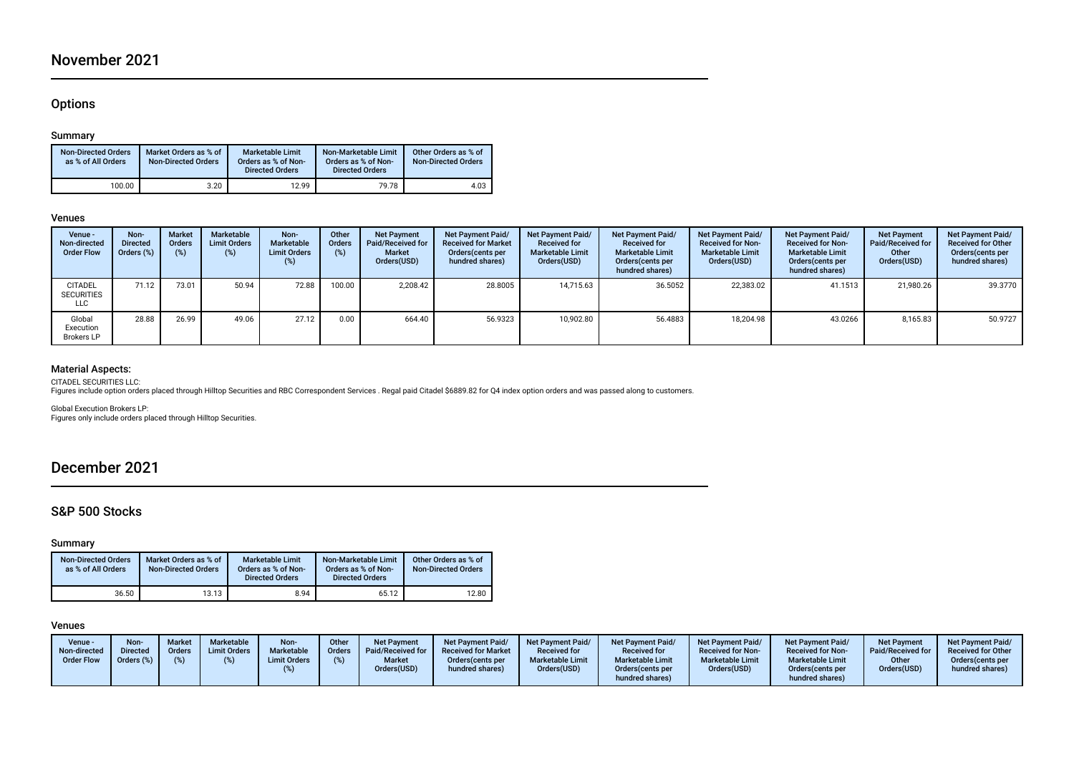## November 2021

## **Options**

#### Summary

| <b>Non-Directed Orders</b><br>as % of All Orders | Market Orders as % of<br><b>Non-Directed Orders</b> | <b>Marketable Limit</b><br>Orders as % of Non-<br><b>Directed Orders</b> | Non-Marketable Limit<br>Orders as % of Non-<br><b>Directed Orders</b> | Other Orders as % of<br><b>Non-Directed Orders</b> |
|--------------------------------------------------|-----------------------------------------------------|--------------------------------------------------------------------------|-----------------------------------------------------------------------|----------------------------------------------------|
| 100.00                                           | 3.20                                                | 12.99                                                                    | 79.78                                                                 | 4.03                                               |

#### Venues

| Venue -<br>Non-directed<br><b>Order Flow</b> | Non-<br><b>Directed</b><br>Orders (%) | <b>Market</b><br>Orders<br>$(\%)$ | Marketable<br><b>Limit Orders</b><br>(%) | Non-<br>Marketable<br><b>Limit Orders</b><br>(%) | Other<br>Orders<br>(%) | <b>Net Payment</b><br><b>Paid/Received for</b><br><b>Market</b><br>Orders(USD) | Net Payment Paid/<br><b>Received for Market</b><br>Orders(cents per<br>hundred shares) | Net Payment Paid/<br><b>Received for</b><br><b>Marketable Limit</b><br>Orders(USD) | Net Payment Paid/<br><b>Received for</b><br><b>Marketable Limit</b><br>Orders (cents per<br>hundred shares) | Net Payment Paid/<br><b>Received for Non-</b><br><b>Marketable Limit</b><br>Orders(USD) | Net Payment Paid/<br><b>Received for Non-</b><br><b>Marketable Limit</b><br>Orders (cents per<br>hundred shares) | <b>Net Payment</b><br><b>Paid/Received for</b><br>Other<br>Orders(USD) | Net Payment Paid/<br><b>Received for Other</b><br>Orders(cents per<br>hundred shares) |
|----------------------------------------------|---------------------------------------|-----------------------------------|------------------------------------------|--------------------------------------------------|------------------------|--------------------------------------------------------------------------------|----------------------------------------------------------------------------------------|------------------------------------------------------------------------------------|-------------------------------------------------------------------------------------------------------------|-----------------------------------------------------------------------------------------|------------------------------------------------------------------------------------------------------------------|------------------------------------------------------------------------|---------------------------------------------------------------------------------------|
| <b>CITADEL</b><br><b>SECURITIES</b><br>LLC   | 71.12                                 | 73.01                             | 50.94                                    | 72.88                                            | 100.00                 | 2.208.42                                                                       | 28.8005                                                                                | 14.715.63                                                                          | 36.5052                                                                                                     | 22.383.02                                                                               | 41.1513                                                                                                          | 21.980.26                                                              | 39.3770                                                                               |
| Global<br>Execution<br><b>Brokers LP</b>     | 28.88                                 | 26.99                             | 49.06                                    | 27.12                                            | 0.00                   | 664.40                                                                         | 56.9323                                                                                | 10,902.80                                                                          | 56.4883                                                                                                     | 18.204.98                                                                               | 43.0266                                                                                                          | 8,165.83                                                               | 50.9727                                                                               |

## Material Aspects:

CITADEL SECURITIES LLC:

Figures include option orders placed through Hilltop Securities and RBC Correspondent Services . Regal paid Citadel \$6889.82 for Q4 index option orders and was passed along to customers.

Global Execution Brokers LP: Figures only include orders placed through Hilltop Securities.

## December 2021

## S&P 500 Stocks

### Summary

| <b>Non-Directed Orders</b><br>as % of All Orders | Market Orders as % of<br><b>Non-Directed Orders</b> | <b>Marketable Limit</b><br>Orders as % of Non-<br><b>Directed Orders</b> | Non-Marketable Limit<br>Orders as % of Non-<br><b>Directed Orders</b> | Other Orders as % of<br><b>Non-Directed Orders</b> |
|--------------------------------------------------|-----------------------------------------------------|--------------------------------------------------------------------------|-----------------------------------------------------------------------|----------------------------------------------------|
| 36.50                                            | 13.13                                               | 8.94                                                                     | 65.12                                                                 | 12.80                                              |

#### Venues

| Venue -<br>Non-directed<br><b>Order Flow</b> | Non-<br><b>Directed</b><br>Orders (%) | <b>Market</b><br><b>Orders</b> | Marketable<br><b>Limit Orders</b> | Non-<br>Marketable<br><b>Limit Orders</b> | Other<br>Orders<br>(% ) | <b>Net Payment</b><br><b>Paid/Received for</b><br><b>Market</b><br>Orders(USD) | <b>Net Payment Paid/</b><br><b>Received for Market</b><br>Orders (cents per<br>hundred shares) | <b>Net Payment Paid/</b><br><b>Received for</b><br><b>Marketable Limit</b><br>Orders(USD) | Net Payment Paid/<br><b>Received for</b><br><b>Marketable Limit</b><br>Orders (cents per<br>hundred shares) | <b>Net Payment Paid/</b><br><b>Received for Non-</b><br><b>Marketable Limit</b><br>Orders(USD) | <b>Net Payment Paid/</b><br><b>Received for Non-</b><br><b>Marketable Limit</b><br>Orders (cents per<br>hundred shares) | <b>Net Payment</b><br>Paid/Received for<br>Other<br>Orders(USD) | <b>Net Payment Paid/</b><br><b>Received for Other</b><br>Orders(cents per<br>hundred shares) |
|----------------------------------------------|---------------------------------------|--------------------------------|-----------------------------------|-------------------------------------------|-------------------------|--------------------------------------------------------------------------------|------------------------------------------------------------------------------------------------|-------------------------------------------------------------------------------------------|-------------------------------------------------------------------------------------------------------------|------------------------------------------------------------------------------------------------|-------------------------------------------------------------------------------------------------------------------------|-----------------------------------------------------------------|----------------------------------------------------------------------------------------------|
|----------------------------------------------|---------------------------------------|--------------------------------|-----------------------------------|-------------------------------------------|-------------------------|--------------------------------------------------------------------------------|------------------------------------------------------------------------------------------------|-------------------------------------------------------------------------------------------|-------------------------------------------------------------------------------------------------------------|------------------------------------------------------------------------------------------------|-------------------------------------------------------------------------------------------------------------------------|-----------------------------------------------------------------|----------------------------------------------------------------------------------------------|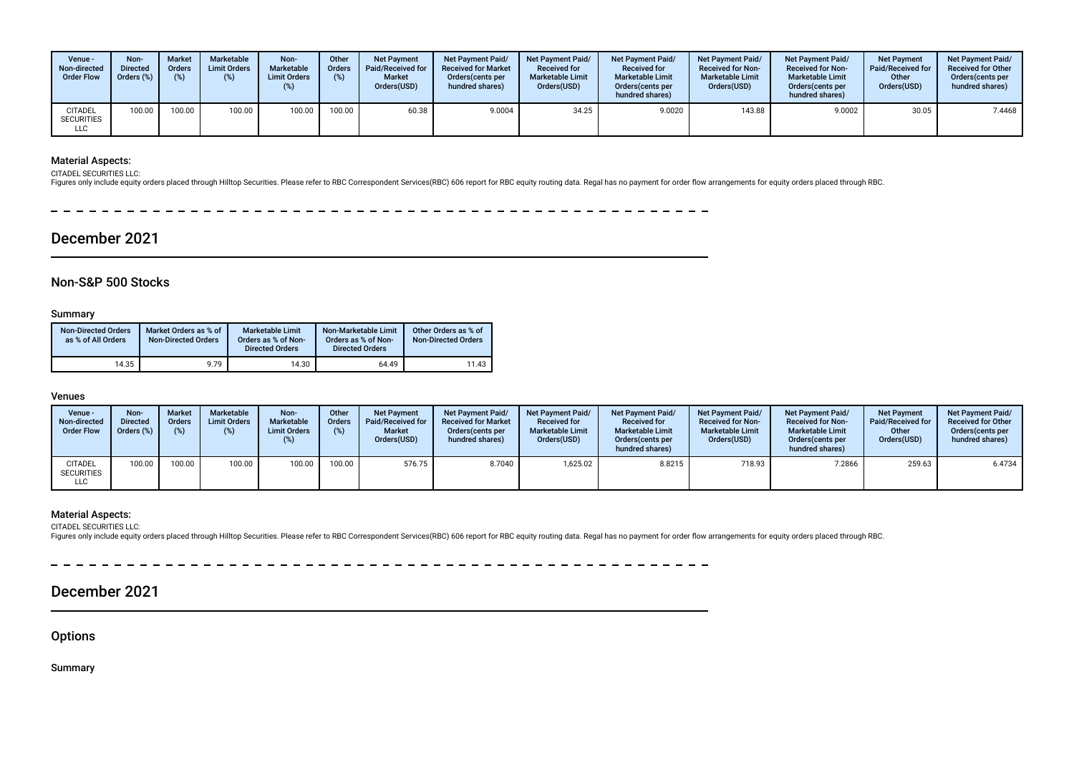| Venue -<br>Non-directed<br><b>Order Flow</b> | Non-<br><b>Directed</b><br>Orders (%) | <b>Market</b><br><b>Orders</b> | Marketable<br><b>Limit Orders</b> | Non-<br>Marketable<br><b>Limit Orders</b><br>$(\%)$ | Other<br><b>Orders</b><br>(%) | <b>Net Payment</b><br>Paid/Received for<br><b>Market</b><br>Orders(USD) | <b>Net Payment Paid/</b><br><b>Received for Market</b><br>Orders (cents per<br>hundred shares) | Net Payment Paid/<br><b>Received for</b><br><b>Marketable Limit</b><br>Orders(USD) | <b>Net Payment Paid/</b><br><b>Received for</b><br><b>Marketable Limit</b><br>Orders (cents per<br>hundred shares) | <b>Net Payment Paid/</b><br><b>Received for Non-</b><br><b>Marketable Limit</b><br>Orders(USD) | <b>Net Payment Paid/</b><br><b>Received for Non-</b><br><b>Marketable Limit</b><br>Orders(cents per<br>hundred shares) | <b>Net Payment</b><br><b>Paid/Received for</b><br>Other<br>Orders(USD) | <b>Net Payment Paid/</b><br><b>Received for Other</b><br>Orders(cents per<br>hundred shares) |
|----------------------------------------------|---------------------------------------|--------------------------------|-----------------------------------|-----------------------------------------------------|-------------------------------|-------------------------------------------------------------------------|------------------------------------------------------------------------------------------------|------------------------------------------------------------------------------------|--------------------------------------------------------------------------------------------------------------------|------------------------------------------------------------------------------------------------|------------------------------------------------------------------------------------------------------------------------|------------------------------------------------------------------------|----------------------------------------------------------------------------------------------|
| <b>CITADEL</b><br><b>SECURITIES</b><br>LLC   | 100.00                                | 100.00                         | 100.00                            | 100.00                                              | 100.00                        | 60.38                                                                   | 9.0004                                                                                         | 34.25                                                                              | 9.0020                                                                                                             | 143.88                                                                                         | 9.0002                                                                                                                 | 30.05                                                                  | 7.4468                                                                                       |

### Material Aspects:

CITADEL SECURITIES LLC:

Figures only include equity orders placed through Hilltop Securities. Please refer to RBC Correspondent Services(RBC) 606 report for RBC equity routing data. Regal has no payment for order flow arrangements for equity orde

 $-$ 

## December 2021

### Non-S&P 500 Stocks

#### Summary

| <b>Non-Directed Orders</b><br>as % of All Orders | Market Orders as % of<br><b>Non-Directed Orders</b> | <b>Marketable Limit</b><br>Orders as % of Non-<br><b>Directed Orders</b> | Non-Marketable Limit<br>Orders as % of Non-<br><b>Directed Orders</b> | Other Orders as % of<br><b>Non-Directed Orders</b> |
|--------------------------------------------------|-----------------------------------------------------|--------------------------------------------------------------------------|-----------------------------------------------------------------------|----------------------------------------------------|
| 14.35                                            | 9.79                                                | 14.30                                                                    | 64.49                                                                 | 11.43                                              |

### Venues

| Venue -<br>Non-directed<br><b>Order Flow</b> | Non-<br><b>Directed</b><br>Orders (% | <b>Market</b><br><b>Orders</b> | Marketable<br><b>Limit Orders</b><br>(%) | Non-<br>Marketable<br><b>Limit Orders</b><br>(%) | Other<br><b>Orders</b> | <b>Net Payment</b><br>Paid/Received for<br><b>Market</b><br>Orders(USD) | <b>Net Payment Paid/</b><br><b>Received for Market</b><br>Orders (cents per<br>hundred shares) | <b>Net Payment Paid/</b><br><b>Received for</b><br><b>Marketable Limit</b><br>Orders(USD) | Net Payment Paid/<br><b>Received for</b><br><b>Marketable Limit</b><br>Orders (cents per<br>hundred shares) | <b>Net Payment Paid/</b><br><b>Received for Non-</b><br><b>Marketable Limit</b><br>Orders(USD) | <b>Net Payment Paid/</b><br><b>Received for Non-</b><br><b>Marketable Limit</b><br>Orders (cents per<br>hundred shares) | <b>Net Payment</b><br>Paid/Received for<br>Other<br>Orders(USD) | <b>Net Payment Paid/</b><br><b>Received for Other</b><br>Orders (cents per<br>hundred shares) |
|----------------------------------------------|--------------------------------------|--------------------------------|------------------------------------------|--------------------------------------------------|------------------------|-------------------------------------------------------------------------|------------------------------------------------------------------------------------------------|-------------------------------------------------------------------------------------------|-------------------------------------------------------------------------------------------------------------|------------------------------------------------------------------------------------------------|-------------------------------------------------------------------------------------------------------------------------|-----------------------------------------------------------------|-----------------------------------------------------------------------------------------------|
| <b>CITADEL</b><br><b>SECURITIES</b><br>LLC   | 100.00                               | 100.00                         | 100.00                                   | 100.00                                           | 100.00                 | 576.75                                                                  | 8.7040                                                                                         | 1.625.02                                                                                  | 8.8215                                                                                                      | 718.93                                                                                         | 7.2866                                                                                                                  | 259.63                                                          | 6.4734                                                                                        |

### Material Aspects:

CITADEL SECURITIES LLC:<br>Figures only include equity orders placed through Hilltop Securities. Please refer to RBC Correspondent Services(RBC) 606 report for RBC equity routing data. Regal has no payment for order flow arra

## December 2021

**Options** 

Summary